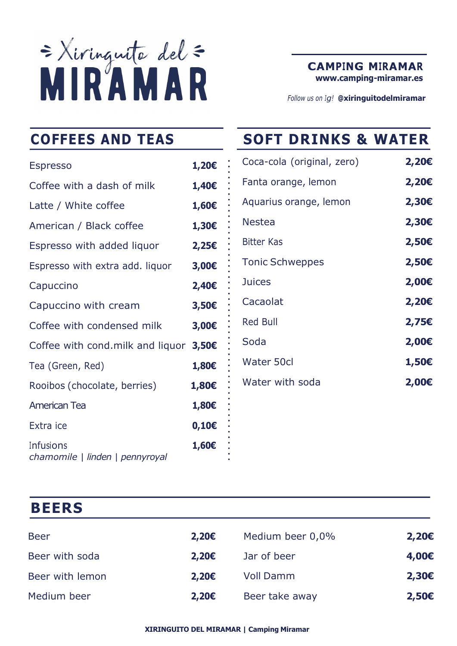

CAMPING MIRAMAR www.camping-miramar.es

Follow us on Iq! @xiringuitodelmiramar

| <b>Espresso</b>                              | 1,20€             | Coca-cola (original, zero) |
|----------------------------------------------|-------------------|----------------------------|
| Coffee with a dash of milk                   | 1,40€             | Fanta orange, lemon        |
| Latte / White coffee                         | 1,60€             | Aquarius orange, lemon     |
| American / Black coffee                      | 1,30€             | <b>Nestea</b>              |
| Espresso with added liquor                   | $2,25\varepsilon$ | <b>Bitter Kas</b>          |
| Espresso with extra add. liquor              | 3,00€             | <b>Tonic Schweppes</b>     |
| Capuccino                                    | 2,40€             | <b>Juices</b>              |
| Capuccino with cream                         | 3,50E             | Cacaolat                   |
| Coffee with condensed milk                   | 3,00€             | <b>Red Bull</b>            |
| Coffee with cond.milk and liquor             | $3,50$ €          | Soda                       |
| Tea (Green, Red)                             | 1,80€             | Water 50cl                 |
| Rooibos (chocolate, berries)                 | 1,80€             | Water with soda            |
| <b>American Tea</b>                          | 1,80€             |                            |
| Extra ice                                    | $0,10 \in$        |                            |
| Infusions<br>chamomile   linden   pennyroyal | 1,60€             |                            |

# COFFEES AND TEAS SOFT DRINKS & WATER

| Coca-cola (original, zero) | 2,20€ |
|----------------------------|-------|
| Fanta orange, lemon        | 2,20€ |
| Aquarius orange, lemon     | 2,30€ |
| Nestea                     | 2,30€ |
| <b>Bitter Kas</b>          | 2,50€ |
| <b>Tonic Schweppes</b>     | 2,50€ |
| <b>Juices</b>              | 2,00€ |
| Cacaolat                   | 2,20€ |
| <b>Red Bull</b>            | 2,75€ |
| Soda                       | 2,00€ |
| <b>Water 50cl</b>          | 1,50€ |
| Water with soda            | 2,00€ |
|                            |       |

# **BEERS**

| <b>Beer</b>     | $2,20 \in$ | Medium beer 0,0% | $2,20 \in$ |
|-----------------|------------|------------------|------------|
| Beer with soda  | $2,20 \in$ | Jar of beer      | 4,00€      |
| Beer with lemon | $2,20 \in$ | <b>Voll Damm</b> | $2,30 \in$ |
| Medium beer     | $2,20 \in$ | Beer take away   | $2,50 \in$ |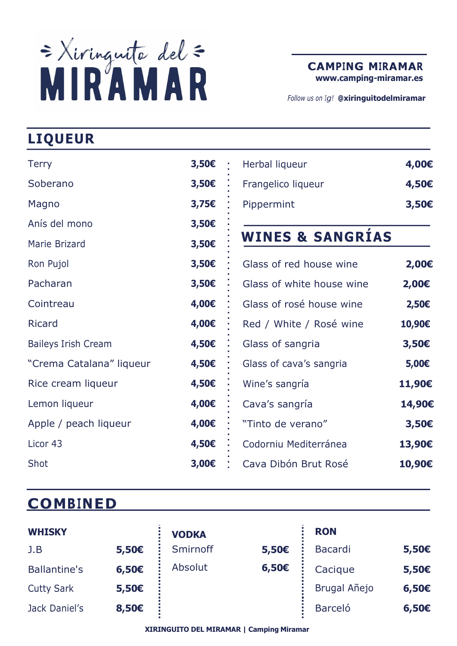

www.camping-miramar.es

Follow us on Iq! @xiringuitodelmiramar

# LIQUEUR

| <b>Terry</b>               | $3,50$ €       | Herbal liqueur              | 4,00€          |
|----------------------------|----------------|-----------------------------|----------------|
| Soberano                   | $3,50$ €       | Frangelico liqueur          | 4,50€          |
| Magno                      | 3,756          | Pippermint                  | 3,50€          |
| Anís del mono              | 3,50€          |                             |                |
| Marie Brizard              | $3,50\epsilon$ | <b>WINES &amp; SANGRÍAS</b> |                |
| Ron Pujol                  | $3,50\epsilon$ | Glass of red house wine     | 2,00€          |
| Pacharan                   | 3,50€          | Glass of white house wine   | 2,00€          |
| Cointreau                  | 4,00€          | Glass of rosé house wine    | 2,50€          |
| <b>Ricard</b>              | 4,00€          | Red / White / Rosé wine     | 10,90€         |
| <b>Baileys Irish Cream</b> | 4,50€          | Glass of sangria            | $3,50\epsilon$ |
| "Crema Catalana" liqueur   | 4,50€          | Glass of cava's sangria     | 5,00€          |
| Rice cream liqueur         | 4,50€          | Wine's sangría              | 11,90€         |
| Lemon liqueur              | 4,00€          | Cava's sangría              | 14,90€         |
| Apple / peach liqueur      | 4,00€          | "Tinto de verano"           | $3,50\epsilon$ |
| Licor 43                   | 4,50€          | Codorniu Mediterránea       | 13,90€         |
| Shot                       | 3,00€          | Cava Dibón Brut Rosé        | 10,90€         |

## **COMBINED**

| <b>WHISKY</b>       |            | <b>VODKA</b> |       | <b>RON</b>     |       |
|---------------------|------------|--------------|-------|----------------|-------|
| J.B                 | 5,50€      | Smirnoff     | 5,50€ | Bacardi        | 5,50€ |
| <b>Ballantine's</b> | 6,50€      | Absolut      | 6,50€ | Cacique        | 5,50€ |
| <b>Cutty Sark</b>   | $5,50 \in$ |              |       | Brugal Añejo   | 6,50E |
| Jack Daniel's       | 8,50€      |              |       | <b>Barceló</b> | 6,50€ |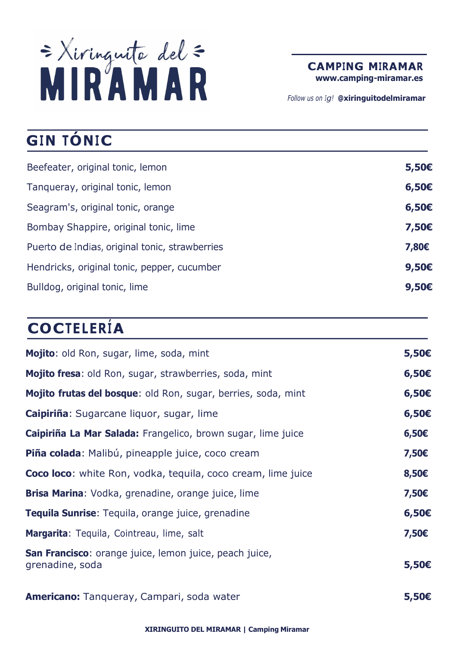

CAMPING MIRAMAR

www.camping-miramar.es

Follow us on Iq! @xiringuitodelmiramar

# GIN TÓNIC

| Beefeater, original tonic, lemon               | $5,50\epsilon$ |
|------------------------------------------------|----------------|
| Tanqueray, original tonic, lemon               | 6,50E          |
| Seagram's, original tonic, orange              | 6,50E          |
| Bombay Shappire, original tonic, lime          | 7,50€          |
| Puerto de Indias, original tonic, strawberries | 7,80€          |
| Hendricks, original tonic, pepper, cucumber    | $9,50\epsilon$ |
| Bulldog, original tonic, lime                  | $9,50 \in$     |
|                                                |                |

# **COCTELERÍA**

| Mojito: old Ron, sugar, lime, soda, mint                                  | 5,50€          |
|---------------------------------------------------------------------------|----------------|
| Mojito fresa: old Ron, sugar, strawberries, soda, mint                    | 6,50E          |
| Mojito frutas del bosque: old Ron, sugar, berries, soda, mint             | $6,50 \in$     |
| Caipiriña: Sugarcane liquor, sugar, lime                                  | 6,50E          |
| Caipiriña La Mar Salada: Frangelico, brown sugar, lime juice              | 6,50E          |
| Piña colada: Malibú, pineapple juice, coco cream                          | 7,50€          |
| <b>Coco loco:</b> white Ron, vodka, tequila, coco cream, lime juice       | 8,50€          |
| <b>Brisa Marina:</b> Vodka, grenadine, orange juice, lime                 | 7,50€          |
| Tequila Sunrise: Tequila, orange juice, grenadine                         | 6,50E          |
| Margarita: Tequila, Cointreau, lime, salt                                 | 7,50€          |
| San Francisco: orange juice, lemon juice, peach juice,<br>grenadine, soda | $5,50\epsilon$ |
| <b>Americano:</b> Tanqueray, Campari, soda water                          | $5,50 \in$     |